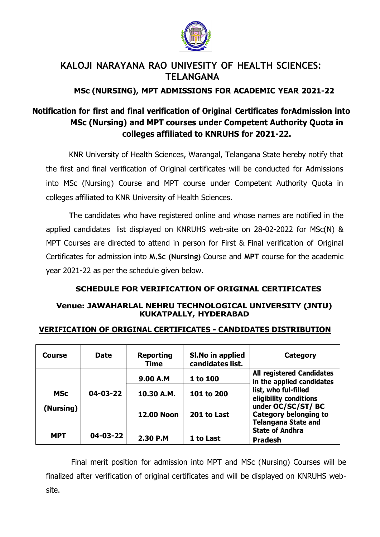

## **KALOJI NARAYANA RAO UNIVESITY OF HEALTH SCIENCES: TELANGANA**

## **MSc (NURSING), MPT ADMISSIONS FOR ACADEMIC YEAR 2021-22**

# **Notification for first and final verification of Original Certificates forAdmission into MSc (Nursing) and MPT courses under Competent Authority Quota in colleges affiliated to KNRUHS for 2021-22.**

KNR University of Health Sciences, Warangal, Telangana State hereby notify that the first and final verification of Original certificates will be conducted for Admissions into MSc (Nursing) Course and MPT course under Competent Authority Quota in colleges affiliated to KNR University of Health Sciences.

**T**he candidates who have registered online and whose names are notified in the applied candidates list displayed on KNRUHS web-site on 28-02-2022 for MSc(N) & MPT Courses are directed to attend in person for First & Final verification of Original Certificates for admission into **M.Sc (Nursing)** Course and **MPT** course for the academic year 2021-22 as per the schedule given below.

#### **SCHEDULE FOR VERIFICATION OF ORIGINAL CERTIFICATES**

#### **Venue: JAWAHARLAL NEHRU TECHNOLOGICAL UNIVERSITY (JNTU) KUKATPALLY, HYDERABAD**

| Course                  | <b>Date</b>    | <b>Reporting</b><br><b>Time</b> | SI. No in applied<br>candidates list. | Category                                                                                                                                                                                                                                       |
|-------------------------|----------------|---------------------------------|---------------------------------------|------------------------------------------------------------------------------------------------------------------------------------------------------------------------------------------------------------------------------------------------|
| <b>MSc</b><br>(Nursing) | $04 - 03 - 22$ | 9.00 A.M                        | 1 to 100                              | <b>All registered Candidates</b><br>in the applied candidates<br>list, who ful-filled<br>eligibility conditions<br>under OC/SC/ST/BC<br><b>Category belonging to</b><br><b>Telangana State and</b><br><b>State of Andhra</b><br><b>Pradesh</b> |
|                         |                | 10.30 A.M.                      | 101 to 200                            |                                                                                                                                                                                                                                                |
|                         |                | <b>12.00 Noon</b>               | 201 to Last                           |                                                                                                                                                                                                                                                |
| <b>MPT</b>              | 04-03-22       | 2.30 P.M                        | 1 to Last                             |                                                                                                                                                                                                                                                |

#### **VERIFICATION OF ORIGINAL CERTIFICATES - CANDIDATES DISTRIBUTION**

Final merit position for admission into MPT and MSc (Nursing) Courses will be finalized after verification of original certificates and will be displayed on KNRUHS website.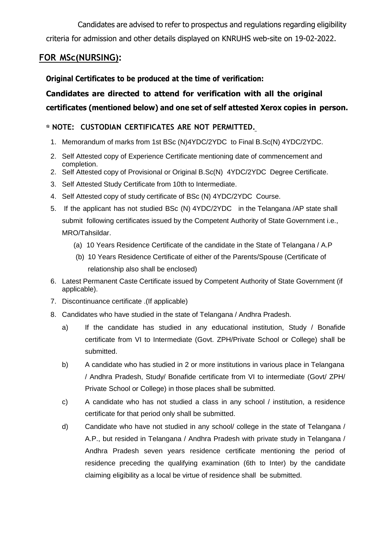Candidates are advised to refer to prospectus and regulations regarding eligibility criteria for admission and other details displayed on KNRUHS web-site on 19-02-2022.

## **FOR MSc(NURSING):**

#### **Original Certificates to be produced at the time of verification:**

# **Candidates are directed to attend for verification with all the original certificates (mentioned below) and one set of self attested Xerox copies in person.**

#### **NOTE: CUSTODIAN CERTIFICATES ARE NOT PERMITTED.**

- 1. Memorandum of marks from 1st BSc (N)4YDC/2YDC to Final B.Sc(N) 4YDC/2YDC.
- 2. Self Attested copy of Experience Certificate mentioning date of commencement and completion.
- 2. Self Attested copy of Provisional or Original B.Sc(N) 4YDC/2YDC Degree Certificate.
- 3. Self Attested Study Certificate from 10th to Intermediate.
- 4. Self Attested copy of study certificate of BSc (N) 4YDC/2YDC Course.
- 5. If the applicant has not studied BSc (N) 4YDC/2YDC in the Telangana /AP state shall submit following certificates issued by the Competent Authority of State Government i.e., MRO/Tahsildar.
	- (a) 10 Years Residence Certificate of the candidate in the State of Telangana / A.P
	- (b) 10 Years Residence Certificate of either of the Parents/Spouse (Certificate of relationship also shall be enclosed)
- 6. Latest Permanent Caste Certificate issued by Competent Authority of State Government (if applicable).
- 7. Discontinuance certificate .(If applicable)
- 8. Candidates who have studied in the state of Telangana / Andhra Pradesh.
	- a) If the candidate has studied in any educational institution, Study / Bonafide certificate from VI to Intermediate (Govt. ZPH/Private School or College) shall be submitted.
	- b) A candidate who has studied in 2 or more institutions in various place in Telangana / Andhra Pradesh, Study/ Bonafide certificate from VI to intermediate (Govt/ ZPH/ Private School or College) in those places shall be submitted.
	- c) A candidate who has not studied a class in any school / institution, a residence certificate for that period only shall be submitted.
	- d) Candidate who have not studied in any school/ college in the state of Telangana / A.P., but resided in Telangana / Andhra Pradesh with private study in Telangana / Andhra Pradesh seven years residence certificate mentioning the period of residence preceding the qualifying examination (6th to Inter) by the candidate claiming eligibility as a local be virtue of residence shall be submitted.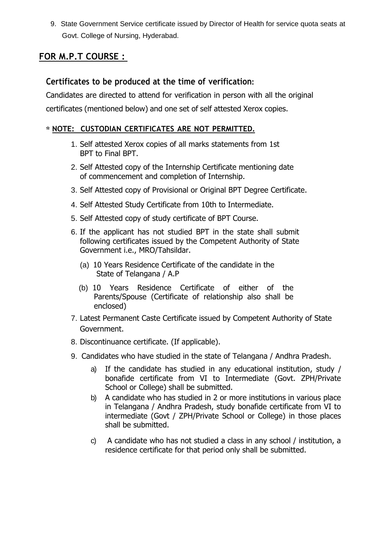9. State Government Service certificate issued by Director of Health for service quota seats at Govt. College of Nursing, Hyderabad.

## **FOR M.P.T COURSE :**

## **Certificates to be produced at the time of verification:**

Candidates are directed to attend for verification in person with all the original certificates (mentioned below) and one set of self attested Xerox copies.

#### **NOTE: CUSTODIAN CERTIFICATES ARE NOT PERMITTED.**

- 1. Self attested Xerox copies of all marks statements from 1st BPT to Final BPT.
- 2. Self Attested copy of the Internship Certificate mentioning date of commencement and completion of Internship.
- 3. Self Attested copy of Provisional or Original BPT Degree Certificate.
- 4. Self Attested Study Certificate from 10th to Intermediate.
- 5. Self Attested copy of study certificate of BPT Course.
- 6. If the applicant has not studied BPT in the state shall submit following certificates issued by the Competent Authority of State Government i.e., MRO/Tahsildar.
	- (a) 10 Years Residence Certificate of the candidate in the State of Telangana / A.P
	- (b) 10 Years Residence Certificate of either of the Parents/Spouse (Certificate of relationship also shall be enclosed)
- 7. Latest Permanent Caste Certificate issued by Competent Authority of State Government.
- 8. Discontinuance certificate. (If applicable).
- 9. Candidates who have studied in the state of Telangana / Andhra Pradesh.
	- a) If the candidate has studied in any educational institution, study / bonafide certificate from VI to Intermediate (Govt. ZPH/Private School or College) shall be submitted.
	- b) A candidate who has studied in 2 or more institutions in various place in Telangana / Andhra Pradesh, study bonafide certificate from VI to intermediate (Govt / ZPH/Private School or College) in those places shall be submitted.
	- c) A candidate who has not studied a class in any school / institution, a residence certificate for that period only shall be submitted.